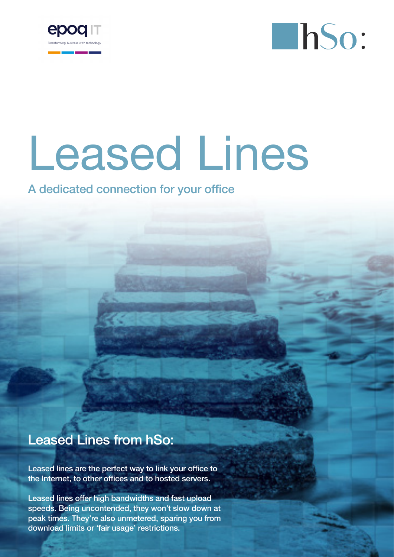



# Leased Lines

A dedicated connection for your office

## Leased Lines from hSo:

Leased lines are the perfect way to link your office to the Internet, to other offices and to hosted servers.

Leased lines offer high bandwidths and fast upload speeds. Being uncontended, they won't slow down at peak times. They're also unmetered, sparing you from download limits or 'fair usage' restrictions.